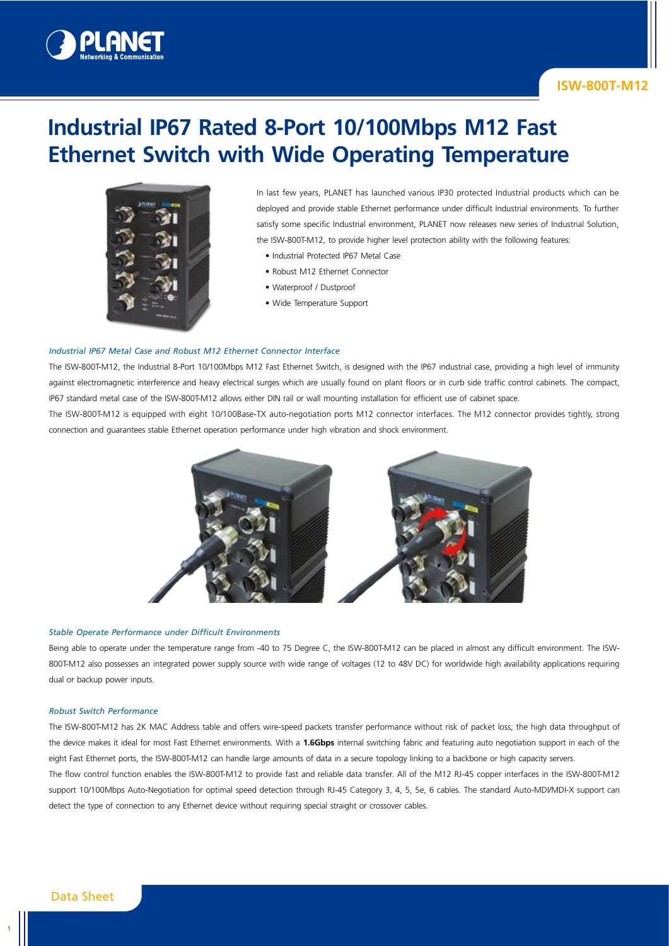

# **ISW-800T-M12**

# **Industrial IP67 Rated 8-Port 10/100Mbps M12 Fast Ethernet Switch with Wide Operating Temperature**



In last few years, PLANET has launched various IP30 protected Industrial products which can be deployed and provide stable Ethernet performance under difficult Industrial environments. To further satisfy some specific Industrial environment, PLANET now releases new series of Industrial Solution, the ISW-800T-M12, to provide higher level protection ability with the following features:

- Industrial Protected IP67 Metal Case
- Robust M12 Ethernet Connector
- Waterproof / Dustproof
- Wide Temperature Support

#### *Industrial IP67 Metal Case and Robust M12 Ethernet Connector Interface*

The ISW-800T-M12, the Industrial 8-Port 10/100Mbps M12 Fast Ethernet Switch, is designed with the IP67 industrial case, providing a high level of immunity against electromagnetic interference and heavy electrical surges which are usually found on plant floors or in curb side traffic control cabinets. The compact, IP67 standard metal case of the ISW-800T-M12 allows either DIN rail or wall mounting installation for efficient use of cabinet space.

The ISW-800T-M12 is equipped with eight 10/100Base-TX auto-negotiation ports M12 connector interfaces. The M12 connector provides tightly, strong connection and guarantees stable Ethernet operation performance under high vibration and shock environment.



#### *Stable Operate Performance under Difficult Environments*

Being able to operate under the temperature range from -40 to 75 Degree C, the ISW-800T-M12 can be placed in almost any difficult environment. The ISW-800T-M12 also possesses an integrated power supply source with wide range of voltages (12 to 48V DC) for worldwide high availability applications requiring dual or backup power inputs.

#### *Robust Switch Performance*

The ISW-800T-M12 has 2K MAC Address table and offers wire-speed packets transfer performance without risk of packet loss; the high data throughput of the device makes it ideal for most Fast Ethernet environments. With a **1.6Gbps** internal switching fabric and featuring auto negotiation support in each of the eight Fast Ethernet ports, the ISW-800T-M12 can handle large amounts of data in a secure topology linking to a backbone or high capacity servers. The flow control function enables the ISW-800T-M12 to provide fast and reliable data transfer. All of the M12 RJ-45 copper interfaces in the ISW-800T-M12

support 10/100Mbps Auto-Negotiation for optimal speed detection through RJ-45 Category 3, 4, 5, 5e, 6 cables. The standard Auto-MDI/MDI-X support can detect the type of connection to any Ethernet device without requiring special straight or crossover cables.

1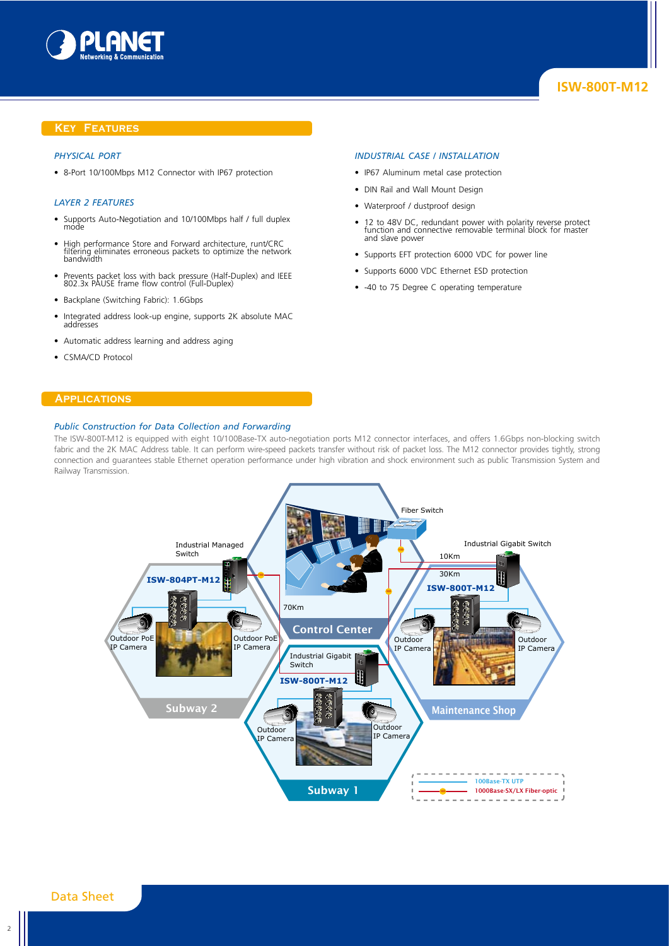

#### **Key Features**

#### *Physical Port*

• 8-Port 10/100Mbps M12 Connector with IP67 protection

#### *Layer 2 Features*

- Supports Auto-Negotiation and 10/100Mbps half / full duplex mode
- High performance Store and Forward architecture, runt/CRC filtering eliminates erroneous packets to optimize the network bandwidth
- Prevents packet loss with back pressure (Half-Duplex) and IEEE 802.3x PAUSE frame flow control (Full-Duplex)
- Backplane (Switching Fabric): 1.6Gbps
- Integrated address look-up engine, supports 2K absolute MAC addresses
- Automatic address learning and address aging
- CSMA/CD Protocol

#### **Applications**

#### *Public Construction for Data Collection and Forwarding*

#### *Industrial Case / Installation*

- IP67 Aluminum metal case protection
- DIN Rail and Wall Mount Design
- Waterproof / dustproof design
- 12 to 48V DC, redundant power with polarity reverse protect function and connective removable terminal block for master and slave power
- Supports EFT protection 6000 VDC for power line
- Supports 6000 VDC Ethernet ESD protection
- -40 to 75 Degree C operating temperature



The ISW-800T-M12 is equipped with eight 10/100Base-TX auto-negotiation ports M12 connector interfaces, and offers 1.6Gbps non-blocking switch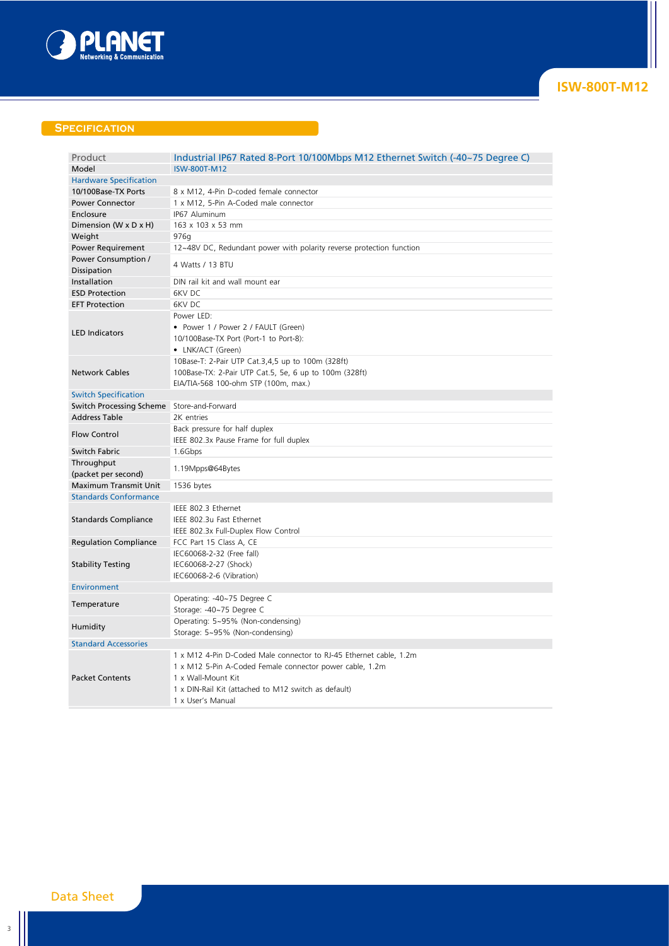

## **Specification**

| Product                                      | Industrial IP67 Rated 8-Port 10/100Mbps M12 Ethernet Switch (-40~75 Degree C) |
|----------------------------------------------|-------------------------------------------------------------------------------|
| Model                                        | <b>ISW-800T-M12</b>                                                           |
| <b>Hardware Specification</b>                |                                                                               |
| 10/100Base-TX Ports                          | 8 x M12, 4-Pin D-coded female connector                                       |
| <b>Power Connector</b>                       | 1 x M12, 5-Pin A-Coded male connector                                         |
| Enclosure                                    | IP67 Aluminum                                                                 |
| Dimension (W x D x H)                        | 163 x 103 x 53 mm                                                             |
| Weight                                       | 976g                                                                          |
| <b>Power Requirement</b>                     | 12~48V DC, Redundant power with polarity reverse protection function          |
| Power Consumption /<br>Dissipation           | 4 Watts / 13 BTU                                                              |
| Installation                                 | DIN rail kit and wall mount ear                                               |
| <b>ESD Protection</b>                        | 6KV DC                                                                        |
| <b>EFT Protection</b>                        | 6KV DC                                                                        |
|                                              | Power LED:                                                                    |
|                                              | • Power 1 / Power 2 / FAULT (Green)                                           |
| <b>LED Indicators</b>                        | 10/100Base-TX Port (Port-1 to Port-8):                                        |
|                                              | • LNK/ACT (Green)                                                             |
| <b>Network Cables</b>                        | 10Base-T: 2-Pair UTP Cat.3,4,5 up to 100m (328ft)                             |
|                                              | 100Base-TX: 2-Pair UTP Cat.5, 5e, 6 up to 100m (328ft)                        |
|                                              | EIA/TIA-568 100-ohm STP (100m, max.)                                          |
| <b>Switch Specification</b>                  |                                                                               |
| Switch Processing Scheme Store-and-Forward   |                                                                               |
| <b>Address Table</b>                         | 2K entries                                                                    |
| <b>Flow Control</b>                          | Back pressure for half duplex                                                 |
|                                              | IEEE 802.3x Pause Frame for full duplex                                       |
| Switch Fabric                                | 1.6Gbps                                                                       |
| Throughput                                   | 1.19Mpps@64Bytes                                                              |
| (packet per second)<br>Maximum Transmit Unit |                                                                               |
| <b>Standards Conformance</b>                 | 1536 bytes                                                                    |
|                                              | IEEE 802.3 Ethernet                                                           |
| <b>Standards Compliance</b>                  | IEEE 802.3u Fast Ethernet                                                     |
|                                              |                                                                               |
|                                              | IEEE 802.3x Full-Duplex Flow Control                                          |
| <b>Regulation Compliance</b>                 | FCC Part 15 Class A, CE<br>IEC60068-2-32 (Free fall)                          |
| <b>Stability Testing</b>                     | IEC60068-2-27 (Shock)                                                         |
|                                              | IEC60068-2-6 (Vibration)                                                      |
| <b>Environment</b>                           |                                                                               |
|                                              | Operating: -40~75 Degree C                                                    |
| Temperature                                  | Storage: -40~75 Degree C                                                      |
|                                              | Operating: 5~95% (Non-condensing)                                             |
| Humidity                                     | Storage: 5~95% (Non-condensing)                                               |
| <b>Standard Accessories</b>                  |                                                                               |
|                                              | 1 x M12 4-Pin D-Coded Male connector to RJ-45 Ethernet cable, 1.2m            |
|                                              | 1 x M12 5-Pin A-Coded Female connector power cable, 1.2m                      |
| <b>Packet Contents</b>                       | 1 x Wall-Mount Kit                                                            |
|                                              | 1 x DIN-Rail Kit (attached to M12 switch as default)                          |
|                                              | 1 x User's Manual                                                             |
|                                              |                                                                               |

3